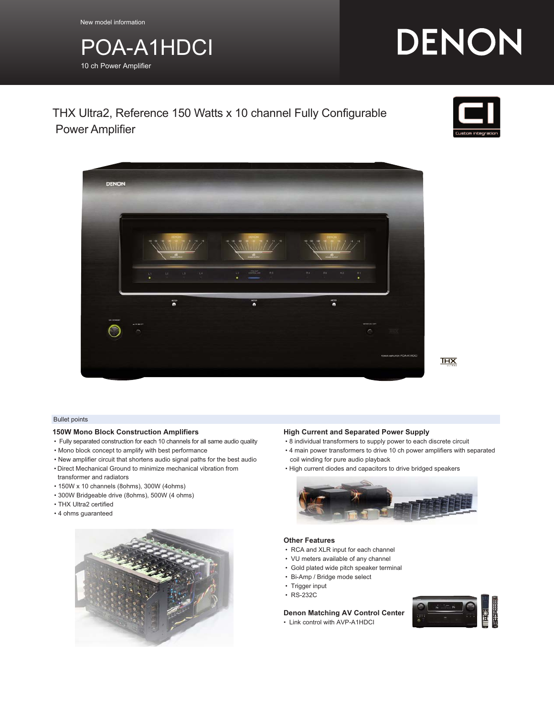New model information

## POA-A1HDCI 10 ch Power Amplifier

# DENON

### THX Ultra2, Reference 150 Watts x 10 channel Fully Configurable Power Amplifier





 $T<sub>HX</sub>$ 

#### Bullet points

#### **150W Mono Block Construction Amplifiers**

- Fully separated construction for each 10 channels for all same audio quality
- Mono block concept to amplify with best performance
- New amplifier circuit that shortens audio signal paths for the best audio
- Direct Mechanical Ground to minimize mechanical vibration from
- transformer and radiators
- 150W x 10 channels (8ohms), 300W (4ohms)
- 300W Bridgeable drive (8ohms), 500W (4 ohms)
- THX Ultra2 certified
- 4 ohms guaranteed



#### **High Current and Separated Power Supply**

- 8 individual transformers to supply power to each discrete circuit
- 4 main power transformers to drive 10 ch power amplifiers with separated coil winding for pure audio playback
- High current diodes and capacitors to drive bridged speakers



#### **Other Features**

- RCA and XLR input for each channel
- VU meters available of any channel
- Gold plated wide pitch speaker terminal
- Bi-Amp / Bridge mode select
- Trigger input
- RS-232C

#### **Denon Matching AV Control Center**

• Link control with AVP-A1HDCI